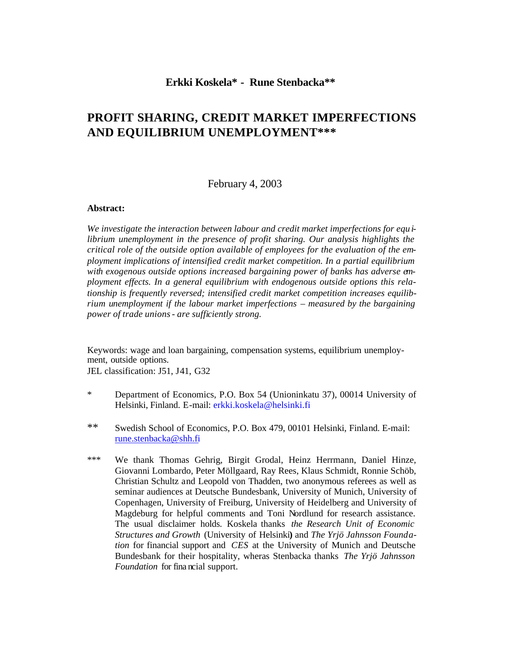# **Erkki Koskela\* - Rune Stenbacka\*\***

# **PROFIT SHARING, CREDIT MARKET IMPERFECTIONS AND EQUILIBRIUM UNEMPLOYMENT\*\*\***

February 4, 2003

#### **Abstract:**

*We investigate the interaction between labour and credit market imperfections for equ ilibrium unemployment in the presence of profit sharing. Our analysis highlights the critical role of the outside option available of employees for the evaluation of the employment implications of intensified credit market competition. In a partial equilibrium with exogenous outside options increased bargaining power of banks has adverse employment effects. In a general equilibrium with endogenous outside options this relationship is frequently reversed; intensified credit market competition increases equilibrium unemployment if the labour market imperfections – measured by the bargaining power of trade unions - are sufficiently strong.* 

Keywords: wage and loan bargaining, compensation systems, equilibrium unemployment, outside options.

JEL classification: J51, J41, G32

- \* Department of Economics, P.O. Box 54 (Unioninkatu 37), 00014 University of Helsinki, Finland. E-mail: erkki.koskela@helsinki.fi
- \*\* Swedish School of Economics, P.O. Box 479, 00101 Helsinki, Finland. E-mail: rune.stenbacka@shh.fi
- \*\*\* We thank Thomas Gehrig, Birgit Grodal, Heinz Herrmann, Daniel Hinze, Giovanni Lombardo, Peter Möllgaard, Ray Rees, Klaus Schmidt, Ronnie Schöb, Christian Schultz and Leopold von Thadden, two anonymous referees as well as seminar audiences at Deutsche Bundesbank, University of Munich, University of Copenhagen, University of Freiburg, University of Heidelberg and University of Magdeburg for helpful comments and Toni Nordlund for research assistance. The usual disclaimer holds. Koskela thanks *the Research Unit of Economic Structures and Growth* (University of Helsinki**)** and *The Yrjö Jahnsson Foundation* for financial support and *CES* at the University of Munich and Deutsche Bundesbank for their hospitality, wheras Stenbacka thanks *The Yrjö Jahnsson Foundation* for fina ncial support.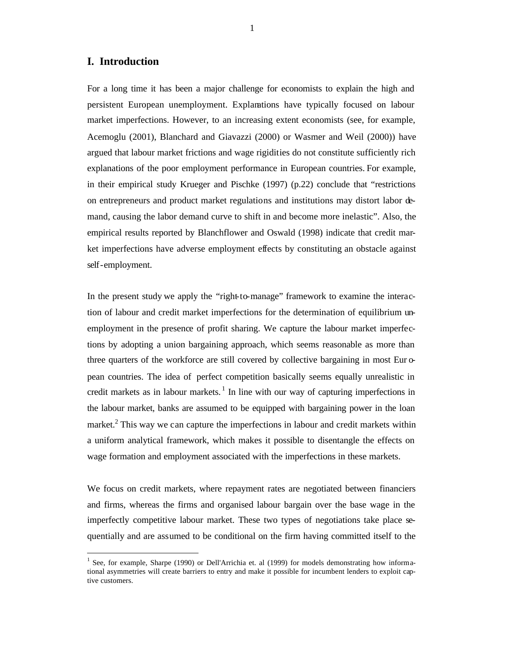# **I. Introduction**

 $\overline{\phantom{a}}$ 

For a long time it has been a major challenge for economists to explain the high and persistent European unemployment. Explanations have typically focused on labour market imperfections. However, to an increasing extent economists (see, for example, Acemoglu (2001), Blanchard and Giavazzi (2000) or Wasmer and Weil (2000)) have argued that labour market frictions and wage rigidities do not constitute sufficiently rich explanations of the poor employment performance in European countries. For example, in their empirical study Krueger and Pischke (1997) (p.22) conclude that "restrictions on entrepreneurs and product market regulations and institutions may distort labor demand, causing the labor demand curve to shift in and become more inelastic". Also, the empirical results reported by Blanchflower and Oswald (1998) indicate that credit market imperfections have adverse employment effects by constituting an obstacle against self-employment.

In the present study we apply the "right-to-manage" framework to examine the interaction of labour and credit market imperfections for the determination of equilibrium unemployment in the presence of profit sharing. We capture the labour market imperfections by adopting a union bargaining approach, which seems reasonable as more than three quarters of the workforce are still covered by collective bargaining in most Eur opean countries. The idea of perfect competition basically seems equally unrealistic in credit markets as in labour markets.<sup>1</sup> In line with our way of capturing imperfections in the labour market, banks are assumed to be equipped with bargaining power in the loan market.<sup>2</sup> This way we can capture the imperfections in labour and credit markets within a uniform analytical framework, which makes it possible to disentangle the effects on wage formation and employment associated with the imperfections in these markets.

We focus on credit markets, where repayment rates are negotiated between financiers and firms, whereas the firms and organised labour bargain over the base wage in the imperfectly competitive labour market. These two types of negotiations take place sequentially and are assumed to be conditional on the firm having committed itself to the

<sup>&</sup>lt;sup>1</sup> See, for example, Sharpe (1990) or Dell'Arrichia et. al (1999) for models demonstrating how informational asymmetries will create barriers to entry and make it possible for incumbent lenders to exploit captive customers.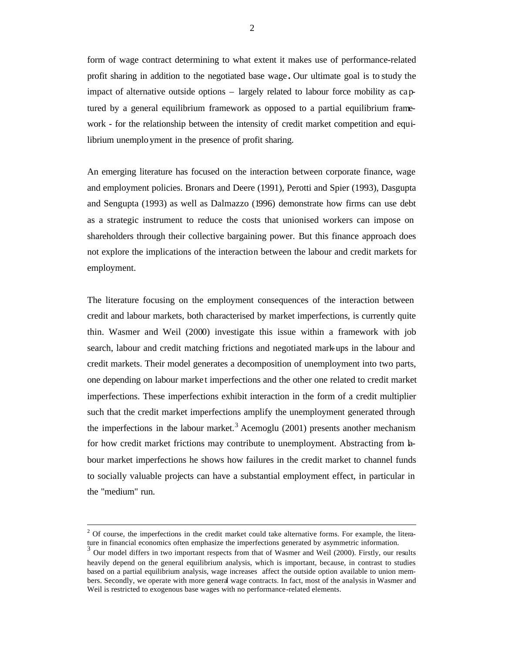form of wage contract determining to what extent it makes use of performance-related profit sharing in addition to the negotiated base wage **.** Our ultimate goal is to study the impact of alternative outside options – largely related to labour force mobility as captured by a general equilibrium framework as opposed to a partial equilibrium framework - for the relationship between the intensity of credit market competition and equilibrium unemplo yment in the presence of profit sharing.

An emerging literature has focused on the interaction between corporate finance, wage and employment policies. Bronars and Deere (1991), Perotti and Spier (1993), Dasgupta and Sengupta (1993) as well as Dalmazzo (1996) demonstrate how firms can use debt as a strategic instrument to reduce the costs that unionised workers can impose on shareholders through their collective bargaining power. But this finance approach does not explore the implications of the interaction between the labour and credit markets for employment.

The literature focusing on the employment consequences of the interaction between credit and labour markets, both characterised by market imperfections, is currently quite thin. Wasmer and Weil (2000) investigate this issue within a framework with job search, labour and credit matching frictions and negotiated mark-ups in the labour and credit markets. Their model generates a decomposition of unemployment into two parts, one depending on labour marke t imperfections and the other one related to credit market imperfections. These imperfections exhibit interaction in the form of a credit multiplier such that the credit market imperfections amplify the unemployment generated through the imperfections in the labour market.<sup>3</sup> Acemoglu (2001) presents another mechanism for how credit market frictions may contribute to unemployment. Abstracting from labour market imperfections he shows how failures in the credit market to channel funds to socially valuable projects can have a substantial employment effect, in particular in the "medium" run.

 $2$  Of course, the imperfections in the credit market could take alternative forms. For example, the literature in financial economics often emphasize the imperfections generated by asymmetric information.

<sup>&</sup>lt;sup>3</sup> Our model differs in two important respects from that of Wasmer and Weil (2000). Firstly, our results heavily depend on the general equilibrium analysis, which is important, because, in contrast to studies based on a partial equilibrium analysis, wage increases affect the outside option available to union members. Secondly, we operate with more general wage contracts. In fact, most of the analysis in Wasmer and Weil is restricted to exogenous base wages with no performance-related elements.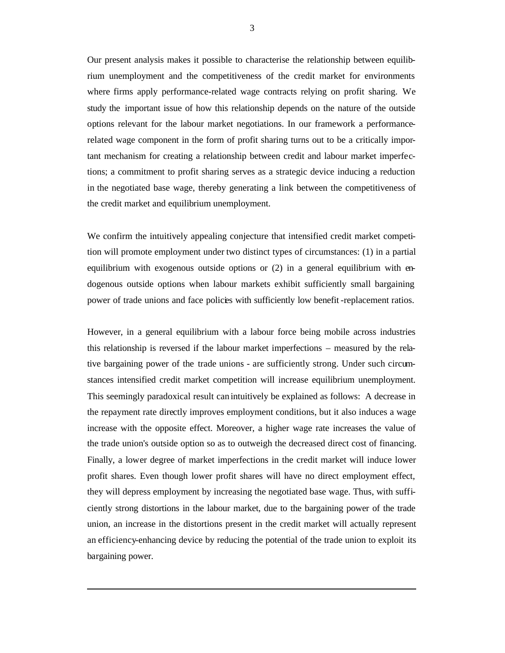Our present analysis makes it possible to characterise the relationship between equilibrium unemployment and the competitiveness of the credit market for environments where firms apply performance-related wage contracts relying on profit sharing. We study the important issue of how this relationship depends on the nature of the outside options relevant for the labour market negotiations. In our framework a performancerelated wage component in the form of profit sharing turns out to be a critically important mechanism for creating a relationship between credit and labour market imperfections; a commitment to profit sharing serves as a strategic device inducing a reduction in the negotiated base wage, thereby generating a link between the competitiveness of the credit market and equilibrium unemployment.

We confirm the intuitively appealing conjecture that intensified credit market competition will promote employment under two distinct types of circumstances: (1) in a partial equilibrium with exogenous outside options or (2) in a general equilibrium with endogenous outside options when labour markets exhibit sufficiently small bargaining power of trade unions and face policies with sufficiently low benefit-replacement ratios.

However, in a general equilibrium with a labour force being mobile across industries this relationship is reversed if the labour market imperfections – measured by the relative bargaining power of the trade unions - are sufficiently strong. Under such circumstances intensified credit market competition will increase equilibrium unemployment. This seemingly paradoxical result can intuitively be explained as follows: A decrease in the repayment rate directly improves employment conditions, but it also induces a wage increase with the opposite effect. Moreover, a higher wage rate increases the value of the trade union's outside option so as to outweigh the decreased direct cost of financing. Finally, a lower degree of market imperfections in the credit market will induce lower profit shares. Even though lower profit shares will have no direct employment effect, they will depress employment by increasing the negotiated base wage. Thus, with sufficiently strong distortions in the labour market, due to the bargaining power of the trade union, an increase in the distortions present in the credit market will actually represent an efficiency-enhancing device by reducing the potential of the trade union to exploit its bargaining power.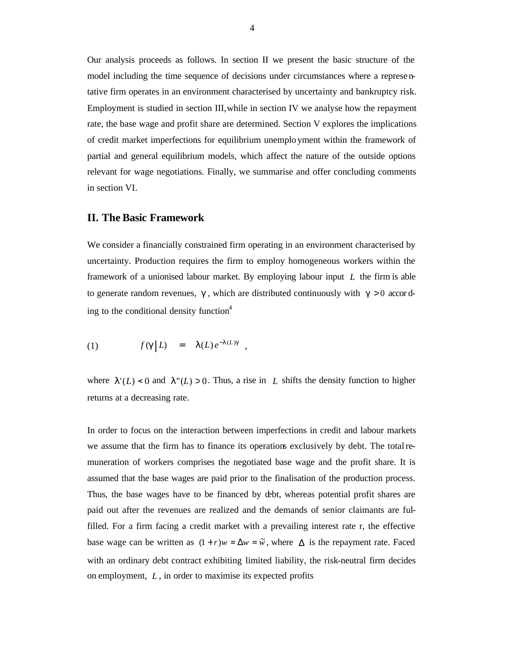Our analysis proceeds as follows. In section II we present the basic structure of the model including the time sequence of decisions under circumstances where a represe ntative firm operates in an environment characterised by uncertainty and bankruptcy risk. Employment is studied in section III,while in section IV we analyse how the repayment rate, the base wage and profit share are determined. Section V explores the implications of credit market imperfections for equilibrium unemplo yment within the framework of partial and general equilibrium models, which affect the nature of the outside options relevant for wage negotiations. Finally, we summarise and offer concluding comments in section VI.

## **II. The Basic Framework**

We consider a financially constrained firm operating in an environment characterised by uncertainty. Production requires the firm to employ homogeneous workers within the framework of a unionised labour market. By employing labour input *L* the firm is able to generate random revenues,  $g$ , which are distributed continuously with  $g > 0$  according to the conditional density function $4$ 

(1) 
$$
f(g|L) = I(L)e^{-I(L)g}
$$
,

where  $I'(L) < 0$  and  $I''(L) > 0$ . Thus, a rise in L shifts the density function to higher returns at a decreasing rate.

In order to focus on the interaction between imperfections in credit and labour markets we assume that the firm has to finance its operations exclusively by debt. The totalremuneration of workers comprises the negotiated base wage and the profit share. It is assumed that the base wages are paid prior to the finalisation of the production process. Thus, the base wages have to be financed by debt, whereas potential profit shares are paid out after the revenues are realized and the demands of senior claimants are fulfilled. For a firm facing a credit market with a prevailing interest rate r, the effective base wage can be written as  $(1 + r)w = \Delta w = \tilde{w}$ , where  $\Delta$  is the repayment rate. Faced with an ordinary debt contract exhibiting limited liability, the risk-neutral firm decides on employment, *L* , in order to maximise its expected profits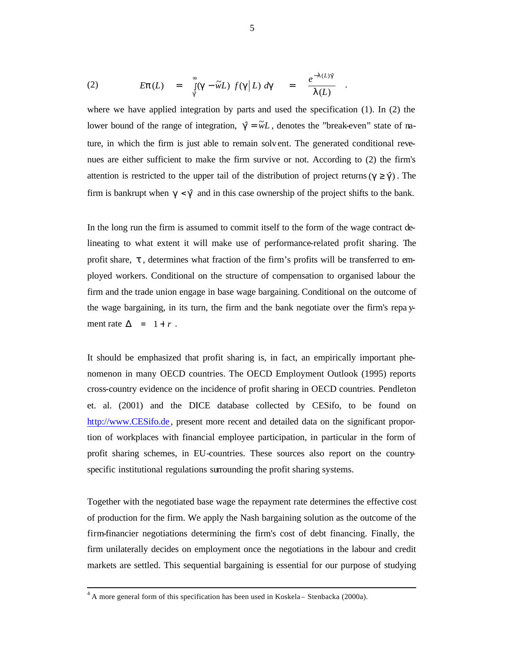(2) 
$$
E\boldsymbol{p}(L) = \int_{g}^{\infty} (\boldsymbol{g} - \widetilde{w}L) f(\boldsymbol{g}|L) d\boldsymbol{g} = \frac{e^{-1(L)\hat{g}}}{I(L)}.
$$

where we have applied integration by parts and used the specification (1). In (2) the lower bound of the range of integration,  $\hat{g} = \tilde{w}L$ , denotes the "break-even" state of nature, in which the firm is just able to remain solvent. The generated conditional revenues are either sufficient to make the firm survive or not. According to (2) the firm's attention is restricted to the upper tail of the distribution of project returns ( $g \ge \hat{g}$ ). The firm is bankrupt when  $g < \hat{g}$  and in this case ownership of the project shifts to the bank.

In the long run the firm is assumed to commit itself to the form of the wage contract delineating to what extent it will make use of performance-related profit sharing. The profit share, *t* , determines what fraction of the firm's profits will be transferred to employed workers. Conditional on the structure of compensation to organised labour the firm and the trade union engage in base wage bargaining. Conditional on the outcome of the wage bargaining, in its turn, the firm and the bank negotiate over the firm's repa yment rate  $\Delta = 1 + r$ .

It should be emphasized that profit sharing is, in fact, an empirically important phenomenon in many OECD countries. The OECD Employment Outlook (1995) reports cross-country evidence on the incidence of profit sharing in OECD countries. Pendleton et. al. (2001) and the DICE database collected by CESifo, to be found on http://www.CESifo.de, present more recent and detailed data on the significant proportion of workplaces with financial employee participation, in particular in the form of profit sharing schemes, in EU-countries. These sources also report on the countryspecific institutional regulations surrounding the profit sharing systems.

Together with the negotiated base wage the repayment rate determines the effective cost of production for the firm. We apply the Nash bargaining solution as the outcome of the firm-financier negotiations determining the firm's cost of debt financing. Finally, the firm unilaterally decides on employment once the negotiations in the labour and credit markets are settled. This sequential bargaining is essential for our purpose of studying

 $^{4}$  A more general form of this specification has been used in Koskela – Stenbacka (2000a).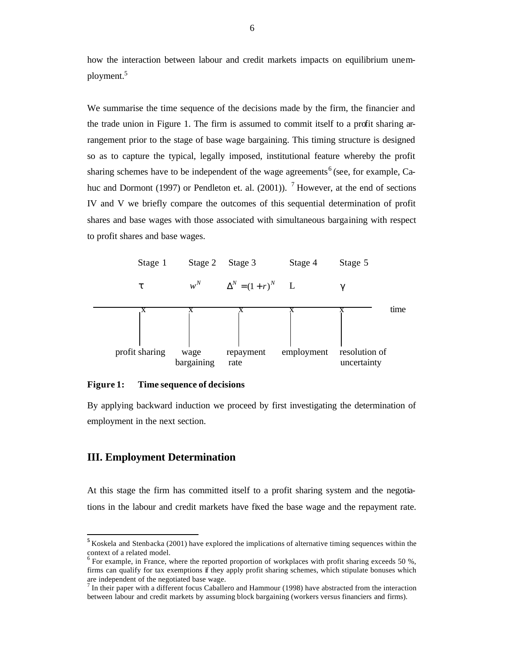how the interaction between labour and credit markets impacts on equilibrium unemployment.<sup>5</sup>

We summarise the time sequence of the decisions made by the firm, the financier and the trade union in Figure 1. The firm is assumed to commit itself to a profit sharing arrangement prior to the stage of base wage bargaining. This timing structure is designed so as to capture the typical, legally imposed, institutional feature whereby the profit sharing schemes have to be independent of the wage agreements<sup>6</sup> (see, for example, Cahuc and Dormont (1997) or Pendleton et. al. (2001)). <sup>7</sup> However, at the end of sections IV and V we briefly compare the outcomes of this sequential determination of profit shares and base wages with those associated with simultaneous bargaining with respect to profit shares and base wages.



**Figure 1: Time sequence of decisions**

By applying backward induction we proceed by first investigating the determination of employment in the next section.

## **III. Employment Determination**

 $\overline{\phantom{a}}$ 

At this stage the firm has committed itself to a profit sharing system and the negotiations in the labour and credit markets have fixed the base wage and the repayment rate.

**<sup>5</sup>** Koskela and Stenbacka (2001) have explored the implications of alternative timing sequences within the context of a related model.<br><sup>6</sup> For example, in France, where the reported proportion of workplaces with profit sharing exceeds 50 %,

firms can qualify for tax exemptions if they apply profit sharing schemes, which stipulate bonuses which are independent of the negotiated base wage.<br><sup>7</sup> In their paper with a different focus Caballero and Hammour (1998) have abstracted from the interaction

between labour and credit markets by assuming block bargaining (workers versus financiers and firms).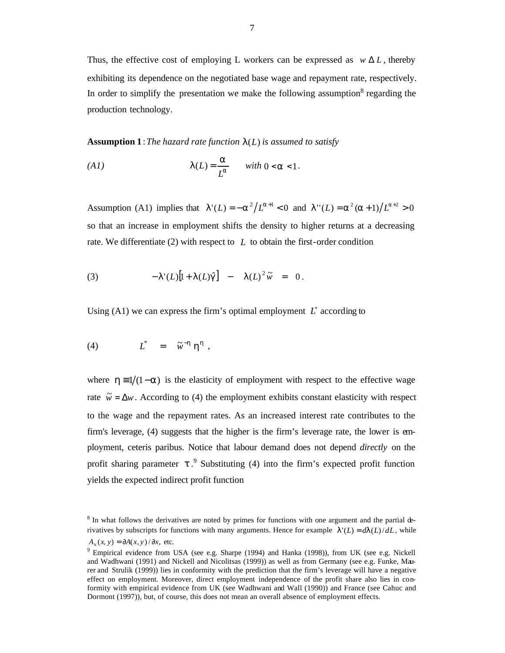Thus, the effective cost of employing L workers can be expressed as  $w \Delta L$ , thereby exhibiting its dependence on the negotiated base wage and repayment rate, respectively. In order to simplify the presentation we make the following assumption<sup>8</sup> regarding the production technology.

**Assumption 1** : *The hazard rate function l*(*L*) *is assumed to satisfy*

$$
(A1) \t I(L) = \frac{a}{L^a} \t with \t 0 < a < 1.
$$

Assumption (A1) implies that  $I'(L) = -a^2/L^{a+1} < 0$  and  $I''(L) = a^2(a+1)/L^{a+2} > 0$ so that an increase in employment shifts the density to higher returns at a decreasing rate. We differentiate  $(2)$  with respect to  $L$  to obtain the first-order condition

(3) 
$$
-I'(L)[1+I(L)\hat{g}] - I(L)^{2}\tilde{w} = 0.
$$

Using (A1) we can express the firm's optimal employment  $L^*$  according to

$$
(4) \tL^* = \tilde{w}^{-h} h^h,
$$

where  $h = 1/(1-a)$  is the elasticity of employment with respect to the effective wage rate  $\tilde{w} = \Delta w$ . According to (4) the employment exhibits constant elasticity with respect to the wage and the repayment rates. As an increased interest rate contributes to the firm's leverage, (4) suggests that the higher is the firm's leverage rate, the lower is employment, ceteris paribus. Notice that labour demand does not depend *directly* on the profit sharing parameter  $t^2$ . Substituting (4) into the firm's expected profit function yields the expected indirect profit function

<sup>&</sup>lt;sup>8</sup> In what follows the derivatives are noted by primes for functions with one argument and the partial derivatives by subscripts for functions with many arguments. Hence for example  $I'(L) = dI(L)/dL$ , while  $A_x(x, y) = \partial A(x, y) / \partial x$ , etc.

<sup>&</sup>lt;sup>9</sup> Empirical evidence from USA (see e.g. Sharpe (1994) and Hanka (1998)), from UK (see e.g. Nickell and Wadhwani (1991) and Nickell and Nicolitsas (1999)) as well as from Germany (see e.g. Funke, Maurer and Strulik (1999)) lies in conformity with the prediction that the firm's leverage will have a negative effect on employment. Moreover, direct employment independence of the profit share also lies in conformity with empirical evidence from UK (see Wadhwani and Wall (1990)) and France (see Cahuc and Dormont (1997)), but, of course, this does not mean an overall absence of employment effects.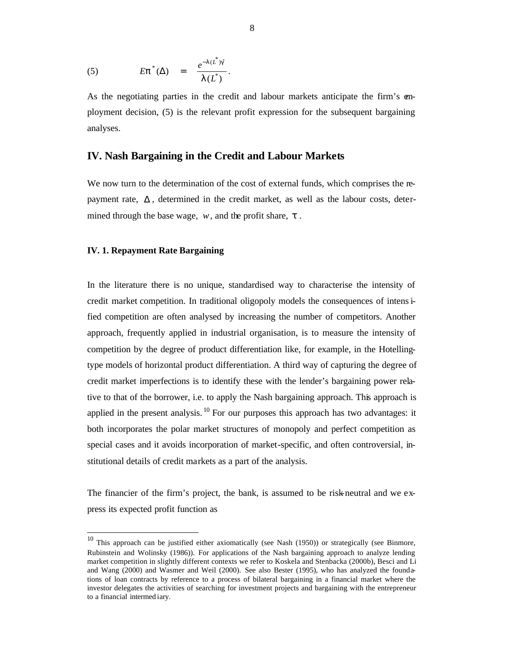(5) 
$$
E\mathbf{p}^*(\Delta) = \frac{e^{-I(L^*)\hat{\mathbf{g}}}}{I(L^*)}.
$$

As the negotiating parties in the credit and labour markets anticipate the firm's employment decision, (5) is the relevant profit expression for the subsequent bargaining analyses.

## **IV. Nash Bargaining in the Credit and Labour Markets**

We now turn to the determination of the cost of external funds, which comprises the repayment rate,  $\Delta$ , determined in the credit market, as well as the labour costs, determined through the base wage, *w*, and the profit share, *t* .

#### **IV. 1. Repayment Rate Bargaining**

 $\overline{\phantom{a}}$ 

In the literature there is no unique, standardised way to characterise the intensity of credit market competition. In traditional oligopoly models the consequences of intensified competition are often analysed by increasing the number of competitors. Another approach, frequently applied in industrial organisation, is to measure the intensity of competition by the degree of product differentiation like, for example, in the Hotellingtype models of horizontal product differentiation. A third way of capturing the degree of credit market imperfections is to identify these with the lender's bargaining power relative to that of the borrower, i.e. to apply the Nash bargaining approach. This approach is applied in the present analysis.  $^{10}$  For our purposes this approach has two advantages: it both incorporates the polar market structures of monopoly and perfect competition as special cases and it avoids incorporation of market-specific, and often controversial, institutional details of credit markets as a part of the analysis.

The financier of the firm's project, the bank, is assumed to be risk-neutral and we express its expected profit function as

 $10$  This approach can be justified either axiomatically (see Nash (1950)) or strategically (see Binmore, Rubinstein and Wolinsky (1986)). For applications of the Nash bargaining approach to analyze lending market competition in slightly different contexts we refer to Koskela and Stenbacka (2000b), Besci and Li and Wang (2000) and Wasmer and Weil (2000). See also Bester (1995), who has analyzed the foundations of loan contracts by reference to a process of bilateral bargaining in a financial market where the investor delegates the activities of searching for investment projects and bargaining with the entrepreneur to a financial intermed iary.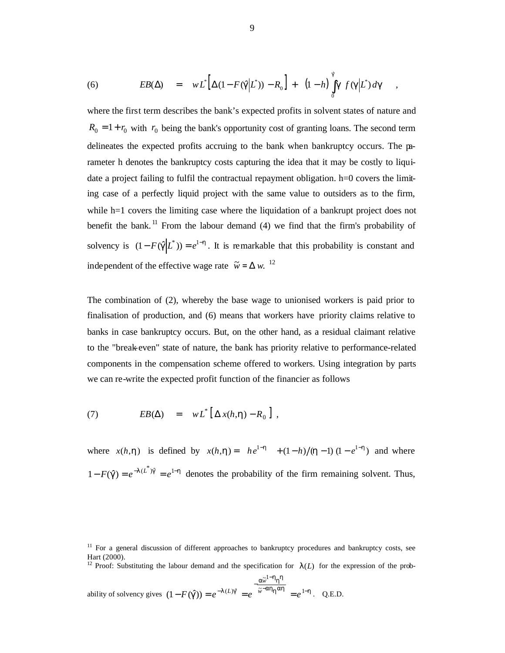(6) 
$$
EB(\Delta) = wL^*[\Delta(1 - F(\hat{\boldsymbol{g}}|L^*)) - R_0] + (1-h)\int_0^{\hat{\boldsymbol{g}}} \boldsymbol{g} f(\boldsymbol{g}|L^*) d\boldsymbol{g} ,
$$

where the first term describes the bank's expected profits in solvent states of nature and  $R_0 = 1 + r_0$  with  $r_0$  being the bank's opportunity cost of granting loans. The second term delineates the expected profits accruing to the bank when bankruptcy occurs. The parameter h denotes the bankruptcy costs capturing the idea that it may be costly to liquidate a project failing to fulfil the contractual repayment obligation. h=0 covers the limiting case of a perfectly liquid project with the same value to outsiders as to the firm, while h=1 covers the limiting case where the liquidation of a bankrupt project does not benefit the bank.<sup>11</sup> From the labour demand  $(4)$  we find that the firm's probability of solvency is  $(1 - F(\hat{g} | L^*)) = e^{1-h}$ . It is remarkable that this probability is constant and independent of the effective wage rate  $\tilde{w} = \Delta w$ . <sup>12</sup>

The combination of (2), whereby the base wage to unionised workers is paid prior to finalisation of production, and (6) means that workers have priority claims relative to banks in case bankruptcy occurs. But, on the other hand, as a residual claimant relative to the "break-even" state of nature, the bank has priority relative to performance-related components in the compensation scheme offered to workers. Using integration by parts we can re-write the expected profit function of the financier as follows

(7) 
$$
EB(\Delta) = wL^* [\Delta x(h,h) - R_0],
$$

where  $x(h, h)$  is defined by  $x(h, h) = h e^{1-h} + (1-h)/(h-1)(1-e^{1-h})$  and where  $1 - F(\hat{g}) = e^{-I(L^*)\hat{g}} = e^{I-h}$  denotes the probability of the firm remaining solvent. Thus,

<sup>12</sup> Proof: Substituting the labour demand and the specification for  $I(L)$  for the expression of the prob-

ability of solvency gives  $(1 - F(\hat{g})) = e^{-I(L)\hat{g}} = e^{-\tilde{w} - ah}h^{ah} = e^{1-h}$  $a^{\widetilde{w}^{1-h}h}$  $\hat{g}$ (*g*)) =  $e^{-I(L)}g$  =  $e^{-\tilde{w}^{-ah}h^{ah}}$  =  $e^{-I}$ − −  $-F(\hat{g})) = e^{-1(L)\hat{g}} = e^{-\tilde{w} - ah_hah} = e^{-h}$  $\approx 1$  $(1 - F(\hat{\mathbf{g}})) = e^{-I(L)\hat{\mathbf{g}}} = e^{-\tilde{w} - \hat{\mathbf{a}} \cdot \hat{\mathbf{n}}} = e^{-\hat{\mathbf{g}} \cdot \hat{\mathbf{n}}}$ *w*  $L$ ) $g = e^{-\tilde{w} - \mathbf{a} n} h^{\mathbf{a} n} = e^{1-h}$ . Q.E.D.

<sup>&</sup>lt;sup>11</sup> For a general discussion of different approaches to bankruptcy procedures and bankruptcy costs, see Hart (2000).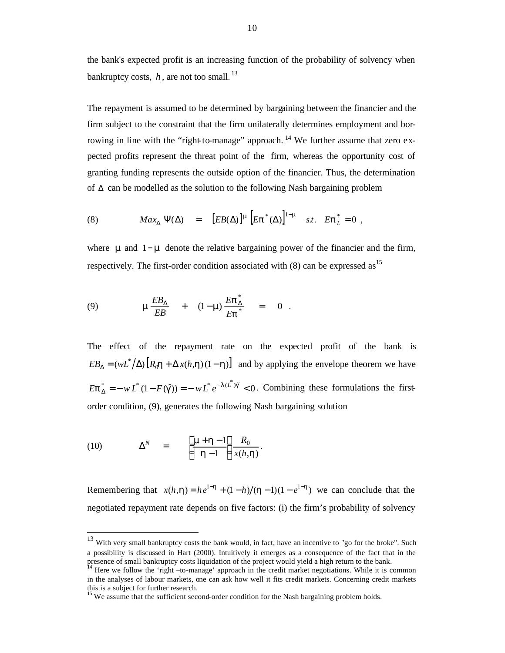the bank's expected profit is an increasing function of the probability of solvency when bankruptcy costs,  $h$ , are not too small.<sup>13</sup>

The repayment is assumed to be determined by bargaining between the financier and the firm subject to the constraint that the firm unilaterally determines employment and borrowing in line with the "right-to-manage" approach. <sup>14</sup> We further assume that zero expected profits represent the threat point of the firm, whereas the opportunity cost of granting funding represents the outside option of the financier. Thus, the determination of  $\Delta$  can be modelled as the solution to the following Nash bargaining problem

(8) 
$$
Max_{\Delta} \Psi(\Delta) = [EB(\Delta)]^{m} [E \mathbf{p}^{*}(\Delta)]^{1-m} \quad s.t. \quad E \mathbf{p}^{*}_{L} = 0 ,
$$

where *m* and 1−*m* denote the relative bargaining power of the financier and the firm, respectively. The first-order condition associated with  $(8)$  can be expressed as<sup>15</sup>

(9) 
$$
\mathbf{m}\frac{EB_{\Delta}}{EB} + (1-\mathbf{m})\frac{Ep_{\Delta}^*}{Ep^*} = 0.
$$

The effect of the repayment rate on the expected profit of the bank is  $EB_{\Delta} = (wL^* / \Delta) [R_0 \mathbf{h} + \Delta x(h, \mathbf{h})(1 - \mathbf{h})]$  and by applying the envelope theorem we have  $\sum_{k=0}^{k} h_k = -W L^* (1 - F(\hat{\mathbf{g}})) = -W L^* e^{-I(L^*)\hat{\mathbf{g}}} < 0$ Δ  $E\mathbf{p}_{\Lambda}^{*} = -w L^{*}(1 - F(\hat{\mathbf{g}})) = -w L^{*} e^{-I(L)\hat{\mathbf{g}}} < 0$ . Combining these formulations the firstorder condition, (9), generates the following Nash bargaining solution

(10) 
$$
\Delta^N = \left[ \frac{\mathbf{m} + \mathbf{h} - 1}{\mathbf{h} - 1} \right] \frac{R_0}{x(h, \mathbf{h})}.
$$

 $\overline{\phantom{a}}$ 

Remembering that  $x(h, h) = he^{-h} + (1-h)/(h-1)(1-e^{-h})$  we can conclude that the negotiated repayment rate depends on five factors: (i) the firm's probability of solvency

 $13$  With very small bankruptcy costs the bank would, in fact, have an incentive to "go for the broke". Such a possibility is discussed in Hart (2000). Intuitively it emerges as a consequence of the fact that in the presence of small bankruptcy costs liquidation of the project would yield a high return to the bank.

<sup>&</sup>lt;sup>14</sup> Here we follow the 'right –to-manage' approach in the credit market negotiations. While it is common in the analyses of labour markets, one can ask how well it fits credit markets. Concerning credit markets this is a subject for further research.

<sup>&</sup>lt;sup>15</sup> We assume that the sufficient second-order condition for the Nash bargaining problem holds.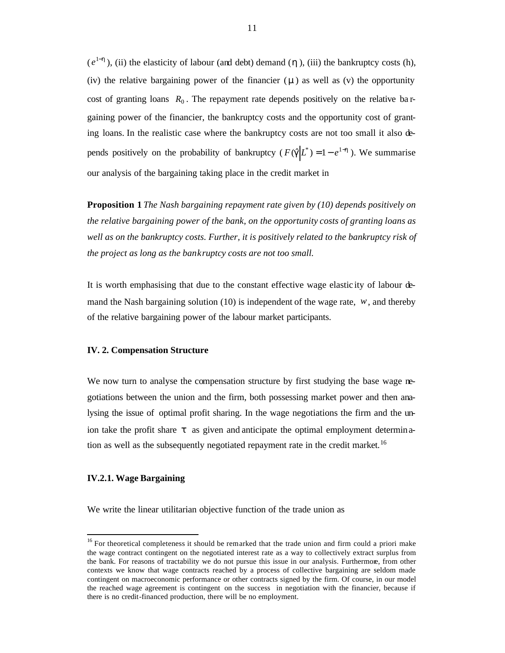$(e^{1-h})$ , (ii) the elasticity of labour (and debt) demand (*h*), (iii) the bankruptcy costs (h), (iv) the relative bargaining power of the financier (*m* ) as well as (v) the opportunity cost of granting loans  $R_0$ . The repayment rate depends positively on the relative ba rgaining power of the financier, the bankruptcy costs and the opportunity cost of granting loans. In the realistic case where the bankruptcy costs are not too small it also depends positively on the probability of bankruptcy ( $F(\hat{g} | L^*) = 1 - e^{1-h}$ ). We summarise our analysis of the bargaining taking place in the credit market in

**Proposition 1** *The Nash bargaining repayment rate given by (10) depends positively on the relative bargaining power of the bank, on the opportunity costs of granting loans as well as on the bankruptcy costs. Further, it is positively related to the bankruptcy risk of the project as long as the bankruptcy costs are not too small.* 

It is worth emphasising that due to the constant effective wage elastic ity of labour demand the Nash bargaining solution (10) is independent of the wage rate, *w*, and thereby of the relative bargaining power of the labour market participants.

#### **IV. 2. Compensation Structure**

We now turn to analyse the compensation structure by first studying the base wage negotiations between the union and the firm, both possessing market power and then analysing the issue of optimal profit sharing. In the wage negotiations the firm and the union take the profit share *t* as given and anticipate the optimal employment determination as well as the subsequently negotiated repayment rate in the credit market.<sup>16</sup>

#### **IV.2.1. Wage Bargaining**

 $\overline{\phantom{a}}$ 

We write the linear utilitarian objective function of the trade union as

<sup>&</sup>lt;sup>16</sup> For theoretical completeness it should be remarked that the trade union and firm could a priori make the wage contract contingent on the negotiated interest rate as a way to collectively extract surplus from the bank. For reasons of tractability we do not pursue this issue in our analysis. Furthermore, from other contexts we know that wage contracts reached by a process of collective bargaining are seldom made contingent on macroeconomic performance or other contracts signed by the firm. Of course, in our model the reached wage agreement is contingent on the success in negotiation with the financier, because if there is no credit-financed production, there will be no employment.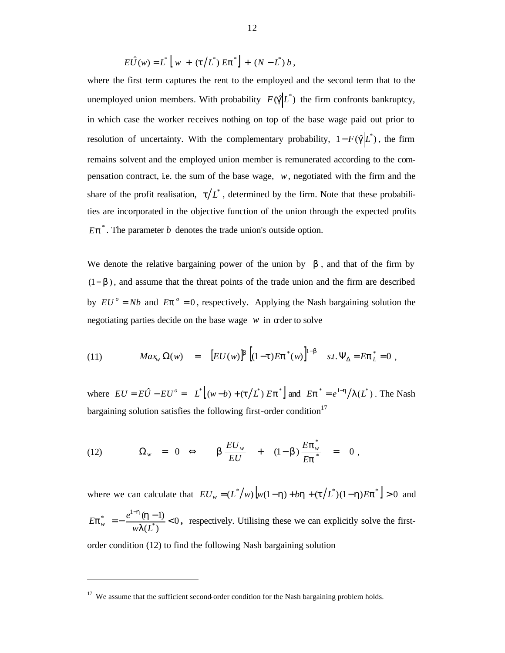$$
E\hat{U}(w) = L^* [ w + (t/L^*) Ep^* ] + (N - L^*) b,
$$

where the first term captures the rent to the employed and the second term that to the unemployed union members. With probability  $F(\hat{g} | L^*)$  the firm confronts bankruptcy, in which case the worker receives nothing on top of the base wage paid out prior to resolution of uncertainty. With the complementary probability,  $1 - F(\hat{g} | L^*)$ , the firm remains solvent and the employed union member is remunerated according to the compensation contract, i.e. the sum of the base wage,  $w$ , negotiated with the firm and the share of the profit realisation,  $t/L^*$ , determined by the firm. Note that these probabilities are incorporated in the objective function of the union through the expected profits  $Ep^*$ . The parameter *b* denotes the trade union's outside option.

We denote the relative bargaining power of the union by  $\boldsymbol{b}$ , and that of the firm by (1− *b* ), and assume that the threat points of the trade union and the firm are described by  $EU^o = Nb$  and  $Ep^o = 0$ , respectively. Applying the Nash bargaining solution the negotiating parties decide on the base wage  $w$  in order to solve

(11) 
$$
Max_{w} \Omega(w) = [EU(w)]^{b} [(1-t)Ep^{*}(w)]^{1-b} \quad st. \Psi_{\Delta} = Ep^{*}_{L} = 0,
$$

where  $EU = E\hat{U} - EU^{\circ} = L^* \left[ (w - b) + (t/L^*) E \mathbf{p}^* \right]$  and  $E \mathbf{p}^* = e^{1-h}/I(L^*)$ . The Nash bargaining solution satisfies the following first-order condition<sup>17</sup>

(12) 
$$
\Omega_w = 0 \Leftrightarrow \qquad \mathbf{b} \frac{EU_w}{EU} + (1-\mathbf{b}) \frac{E \mathbf{p}_w^*}{E \mathbf{p}^*} = 0,
$$

where we can calculate that  $EU_w = (L^*/w) [w(1-h) + bh + (t/L^*)(1-h)Ep^*] > 0$  and 0  $(L^{\ast })$  $(h-1)$ \*  $\frac{1}{2}$  =  $-\frac{e^{1-h}(h-1)}{h}$ −  $wI(L)$  $E \mathbf{p}_{w}^{*} = -\frac{e^{1-\mathbf{h}}}{w\mathbf{I}}$  $\int_{\mathcal{P}_{w}}^{*} = -\frac{e^{1-h}(\mathbf{h})}{h}$ *h* **,** respectively. Utilising these we can explicitly solve the first-

order condition (12) to find the following Nash bargaining solution

<sup>&</sup>lt;sup>17</sup> We assume that the sufficient second-order condition for the Nash bargaining problem holds.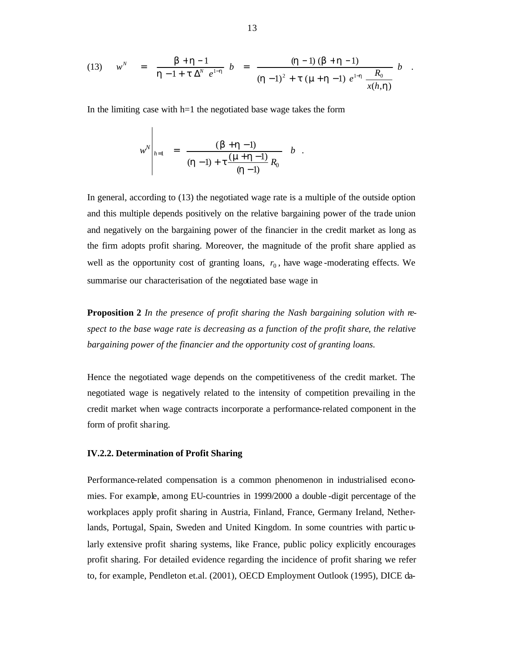(13) 
$$
w^N = \frac{b+h-1}{h-1+t\Delta^N e^{1-h}} b = \frac{(h-1)(b+h-1)}{(h-1)^2+t(m+h-1) e^{1-h} \frac{R_0}{x(h,h)}} b
$$

In the limiting case with  $h=1$  the negotiated base wage takes the form

 $\overline{1}$ 

$$
w^N\Bigg|_{h=1} = \frac{(\bm{b} + \bm{h} - 1)}{(\bm{h} - 1) + \bm{t} \frac{(\bm{m} + \bm{h} - 1)}{(\bm{h} - 1)} R_0} \quad b
$$

In general, according to (13) the negotiated wage rate is a multiple of the outside option and this multiple depends positively on the relative bargaining power of the trade union and negatively on the bargaining power of the financier in the credit market as long as the firm adopts profit sharing. Moreover, the magnitude of the profit share applied as well as the opportunity cost of granting loans,  $r_0$ , have wage-moderating effects. We summarise our characterisation of the negotiated base wage in

**Proposition 2** *In the presence of profit sharing the Nash bargaining solution with respect to the base wage rate is decreasing as a function of the profit share, the relative bargaining power of the financier and the opportunity cost of granting loans.*

Hence the negotiated wage depends on the competitiveness of the credit market. The negotiated wage is negatively related to the intensity of competition prevailing in the credit market when wage contracts incorporate a performance-related component in the form of profit sharing.

### **IV.2.2. Determination of Profit Sharing**

Performance-related compensation is a common phenomenon in industrialised economies. For example, among EU-countries in 1999/2000 a double -digit percentage of the workplaces apply profit sharing in Austria, Finland, France, Germany Ireland, Netherlands, Portugal, Spain, Sweden and United Kingdom. In some countries with partic ularly extensive profit sharing systems, like France, public policy explicitly encourages profit sharing. For detailed evidence regarding the incidence of profit sharing we refer to, for example, Pendleton et.al. (2001), OECD Employment Outlook (1995), DICE da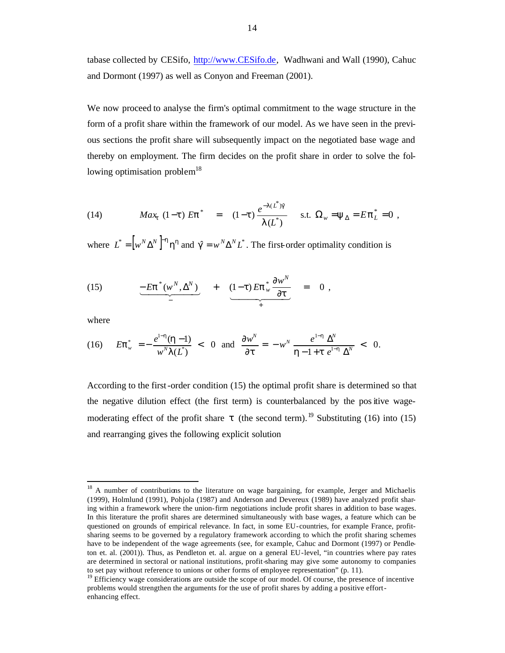tabase collected by CESifo, http://www.CESifo.de, Wadhwani and Wall (1990), Cahuc and Dormont (1997) as well as Conyon and Freeman (2001).

We now proceed to analyse the firm's optimal commitment to the wage structure in the form of a profit share within the framework of our model. As we have seen in the previous sections the profit share will subsequently impact on the negotiated base wage and thereby on employment. The firm decides on the profit share in order to solve the following optimisation problem $^{18}$ 

(14) 
$$
Max_{t} (1-t) Ep^* = (1-t) \frac{e^{-I(L^*)g}}{I(L^*)} \text{ s.t. } \Omega_w = y_{\Delta} = Ep_L^* = 0,
$$

where  $L^* = \left[ w^N \Delta^N \right]^{-h} h^h$  and  $\hat{g} = w^N \Delta^N L^*$ . The first-order optimality condition is

(15) 
$$
\underbrace{-E\boldsymbol{p}^*(w^N,\Delta^N)}_{-} + \underbrace{(1-t)E\boldsymbol{p}^*_{w}\frac{\partial w^N}{\partial t}}_{+} = 0,
$$

where

 $\overline{\phantom{a}}$ 

(16) 
$$
E\mathbf{p}_{w}^{*} = -\frac{e^{1-h}(\mathbf{h}-1)}{w^{N}I(L^{*})} < 0 \text{ and } \frac{\partial w^{N}}{\partial t} = -w^{N} \frac{e^{1-h} \Delta^{N}}{\mathbf{h}-1+\mathbf{t} e^{1-h} \Delta^{N}} < 0.
$$

According to the first-order condition (15) the optimal profit share is determined so that the negative dilution effect (the first term) is counterbalanced by the positive wagemoderating effect of the profit share  $t$  (the second term).<sup>19</sup> Substituting (16) into (15) and rearranging gives the following explicit solution

<sup>&</sup>lt;sup>18</sup> A number of contributions to the literature on wage bargaining, for example, Jerger and Michaelis (1999), Holmlund (1991), Pohjola (1987) and Anderson and Devereux (1989) have analyzed profit sharing within a framework where the union-firm negotiations include profit shares in addition to base wages. In this literature the profit shares are determined simultaneously with base wages, a feature which can be questioned on grounds of empirical relevance. In fact, in some EU-countries, for example France, profitsharing seems to be governed by a regulatory framework according to which the profit sharing schemes have to be independent of the wage agreements (see, for example, Cahuc and Dormont (1997) or Pendleton et. al. (2001)). Thus, as Pendleton et. al. argue on a general EU-level, "in countries where pay rates are determined in sectoral or national institutions, profit-sharing may give some autonomy to companies to set pay without reference to unions or other forms of employee representation" (p. 11).

<sup>&</sup>lt;sup>19</sup> Efficiency wage considerations are outside the scope of our model. Of course, the presence of incentive problems would strengthen the arguments for the use of profit shares by adding a positive effortenhancing effect.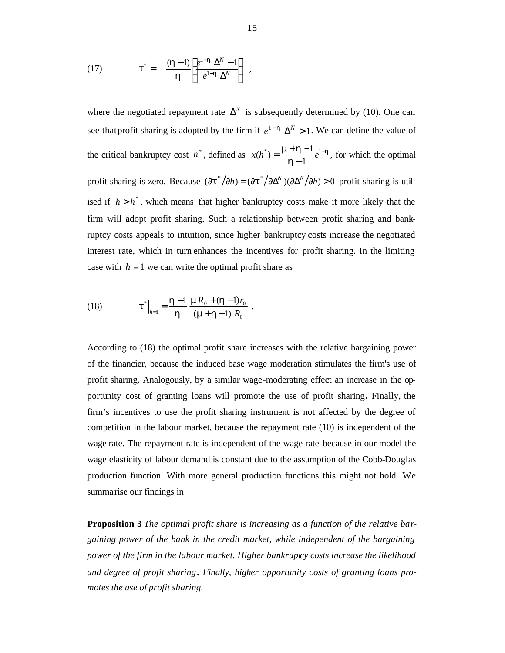(17) 
$$
\boldsymbol{t}^* = \frac{(\boldsymbol{h}-1)}{\boldsymbol{h}} \left[ \frac{e^{1-\boldsymbol{h}} \Delta^N - 1}{e^{1-\boldsymbol{h}} \Delta^N} \right],
$$

where the negotiated repayment rate  $\Delta^N$  is subsequently determined by (10). One can see that profit sharing is adopted by the firm if  $e^{1-h} \Delta^N > 1$ . We can define the value of the critical bankruptcy cost h<sup>\*</sup>, defined as  $x(h^*) = \frac{\mathbf{n} + \mathbf{n} - 1}{\mathbf{n}} e^{1-\mathbf{h}}$ *h*  $m + h - 1$ <sub>a</sub><sup>1–</sup> − \*) =  $\frac{\mathbf{n} + \mathbf{h} - 1}{\mathbf{n} + \mathbf{h} - \mathbf{h}} e^{1}$ 1  $x(h^*) = \frac{\mathbf{n} + \mathbf{h} - 1}{\mathbf{n} + \mathbf{h} - \mathbf{h}} e^{1 - \mathbf{h}}$ , for which the optimal profit sharing is zero. Because  $(\partial t^* / \partial h) = (\partial t^* / \partial \Delta^N) (\partial \Delta^N / \partial h) > 0$  profit sharing is utilised if  $h > h^*$ , which means that higher bankruptcy costs make it more likely that the firm will adopt profit sharing. Such a relationship between profit sharing and bankruptcy costs appeals to intuition, since higher bankruptcy costs increase the negotiated interest rate, which in turn enhances the incentives for profit sharing. In the limiting case with  $h = 1$  we can write the optimal profit share as

(18) 
$$
\mathbf{t}^* \big|_{h=1} = \frac{\mathbf{h} - 1}{\mathbf{h}} \frac{\mathbf{m} R_0 + (\mathbf{h} - 1) r_0}{(\mathbf{m} + \mathbf{h} - 1) R_0}.
$$

According to (18) the optimal profit share increases with the relative bargaining power of the financier, because the induced base wage moderation stimulates the firm's use of profit sharing. Analogously, by a similar wage-moderating effect an increase in the opportunity cost of granting loans will promote the use of profit sharing**.** Finally, the firm's incentives to use the profit sharing instrument is not affected by the degree of competition in the labour market, because the repayment rate (10) is independent of the wage rate. The repayment rate is independent of the wage rate because in our model the wage elasticity of labour demand is constant due to the assumption of the Cobb-Douglas production function. With more general production functions this might not hold. We summarise our findings in

**Proposition 3** *The optimal profit share is increasing as a function of the relative bargaining power of the bank in the credit market, while independent of the bargaining power of the firm in the labour market. Higher bankruptcy costs increase the likelihood and degree of profit sharing . Finally, higher opportunity costs of granting loans promotes the use of profit sharing.*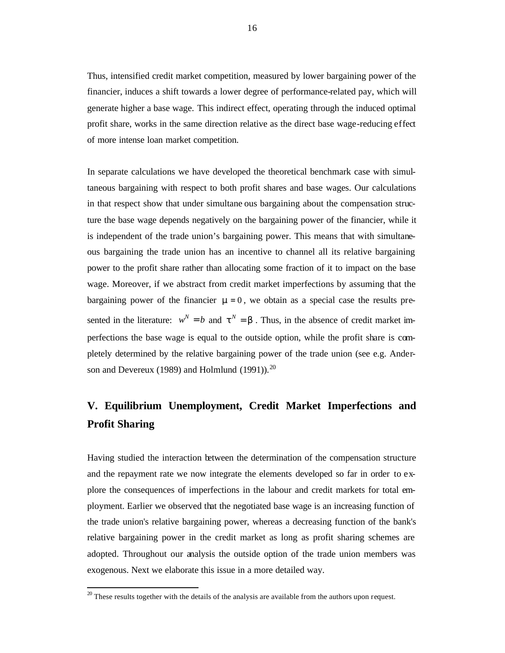Thus, intensified credit market competition, measured by lower bargaining power of the financier, induces a shift towards a lower degree of performance-related pay, which will generate higher a base wage. This indirect effect, operating through the induced optimal profit share, works in the same direction relative as the direct base wage-reducing effect of more intense loan market competition.

In separate calculations we have developed the theoretical benchmark case with simultaneous bargaining with respect to both profit shares and base wages. Our calculations in that respect show that under simultane ous bargaining about the compensation structure the base wage depends negatively on the bargaining power of the financier, while it is independent of the trade union's bargaining power. This means that with simultaneous bargaining the trade union has an incentive to channel all its relative bargaining power to the profit share rather than allocating some fraction of it to impact on the base wage. Moreover, if we abstract from credit market imperfections by assuming that the bargaining power of the financier  $\mathbf{m} = 0$ , we obtain as a special case the results presented in the literature:  $w^N = b$  and  $t^N = b$ . Thus, in the absence of credit market imperfections the base wage is equal to the outside option, while the profit share is completely determined by the relative bargaining power of the trade union (see e.g. Anderson and Devereux (1989) and Holmlund (1991)). $^{20}$ 

# **V. Equilibrium Unemployment, Credit Market Imperfections and Profit Sharing**

Having studied the interaction between the determination of the compensation structure and the repayment rate we now integrate the elements developed so far in order to explore the consequences of imperfections in the labour and credit markets for total employment. Earlier we observed that the negotiated base wage is an increasing function of the trade union's relative bargaining power, whereas a decreasing function of the bank's relative bargaining power in the credit market as long as profit sharing schemes are adopted. Throughout our analysis the outside option of the trade union members was exogenous. Next we elaborate this issue in a more detailed way.

 $20$  These results together with the details of the analysis are available from the authors upon request.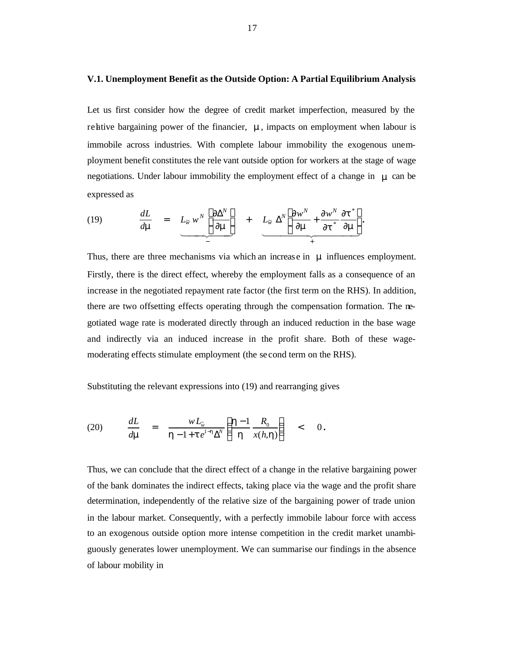#### **V.1. Unemployment Benefit as the Outside Option: A Partial Equilibrium Analysis**

Let us first consider how the degree of credit market imperfection, measured by the relative bargaining power of the financier,  $\boldsymbol{n}$ , impacts on employment when labour is immobile across industries. With complete labour immobility the exogenous unemployment benefit constitutes the rele vant outside option for workers at the stage of wage negotiations. Under labour immobility the employment effect of a change in *m* can be expressed as

(19) 
$$
\frac{dL}{d\mathbf{m}} = L_{\widetilde{w}} w^N \left[ \frac{\partial \Delta^N}{\partial \mathbf{m}} \right] + L_{\widetilde{w}} \Delta^N \left[ \frac{\partial w^N}{\partial \mathbf{m}} + \frac{\partial w^N}{\partial t^*} \frac{\partial t^*}{\partial \mathbf{m}} \right].
$$

Thus, there are three mechanisms via which an increas e in *m* influences employment. Firstly, there is the direct effect, whereby the employment falls as a consequence of an increase in the negotiated repayment rate factor (the first term on the RHS). In addition, there are two offsetting effects operating through the compensation formation. The negotiated wage rate is moderated directly through an induced reduction in the base wage and indirectly via an induced increase in the profit share. Both of these wagemoderating effects stimulate employment (the se cond term on the RHS).

Substituting the relevant expressions into (19) and rearranging gives

$$
(20) \qquad \frac{dL}{d\mathbf{m}} = \frac{wL_{\widetilde{w}}}{\mathbf{h} - 1 + t e^{1-\mathbf{h}}\Delta^N} \left(\frac{\mathbf{h} - 1}{\mathbf{h}} \frac{R_0}{x(h, \mathbf{h})}\right) < 0.
$$

Thus, we can conclude that the direct effect of a change in the relative bargaining power of the bank dominates the indirect effects, taking place via the wage and the profit share determination, independently of the relative size of the bargaining power of trade union in the labour market. Consequently, with a perfectly immobile labour force with access to an exogenous outside option more intense competition in the credit market unambiguously generates lower unemployment. We can summarise our findings in the absence of labour mobility in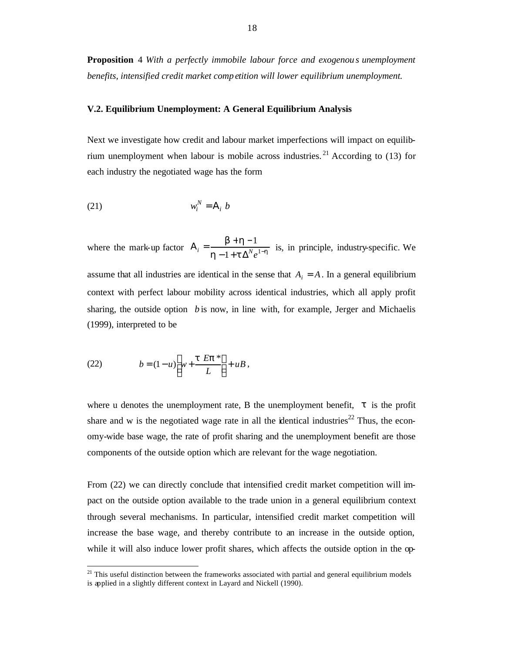**Proposition** 4 *With a perfectly immobile labour force and exogenou s unemployment benefits, intensified credit market comp etition will lower equilibrium unemployment.*

## **V.2. Equilibrium Unemployment: A General Equilibrium Analysis**

Next we investigate how credit and labour market imperfections will impact on equilibrium unemployment when labour is mobile across industries.<sup>21</sup> According to  $(13)$  for each industry the negotiated wage has the form

$$
(21) \t\t w_i^N = A_i b
$$

where the mark-up factor  $A_i = \frac{B + A_i}{b_i - 1 + t \Delta^N e^{1-b_i}}$ *b h*  $-1$  +  $\mathbf{t} \Delta^N e^{1-\mathbf{t}}$  $A_i = \frac{b+h-1}{h-1+t\Delta^N e^1}$ 1  $e_i = \frac{\sum_{i=1}^{n} A_i}{h-1+t \Delta^N e^{1-h}}$  is, in principle, industry-specific. We assume that all industries are identical in the sense that  $A_i = A$ . In a general equilibrium context with perfect labour mobility across identical industries, which all apply profit sharing, the outside option *b* is now, in line with, for example, Jerger and Michaelis (1999), interpreted to be

(22) 
$$
b = (1 - u) \left[ w + \frac{t E p^*}{L} \right] + u B,
$$

 $\overline{a}$ 

where u denotes the unemployment rate, B the unemployment benefit,  $t$  is the profit share and w is the negotiated wage rate in all the identical industries<sup>22</sup> Thus, the economy-wide base wage, the rate of profit sharing and the unemployment benefit are those components of the outside option which are relevant for the wage negotiation.

From (22) we can directly conclude that intensified credit market competition will impact on the outside option available to the trade union in a general equilibrium context through several mechanisms. In particular, intensified credit market competition will increase the base wage, and thereby contribute to an increase in the outside option, while it will also induce lower profit shares, which affects the outside option in the op-

 $21$  This useful distinction between the frameworks associated with partial and general equilibrium models is applied in a slightly different context in Layard and Nickell (1990).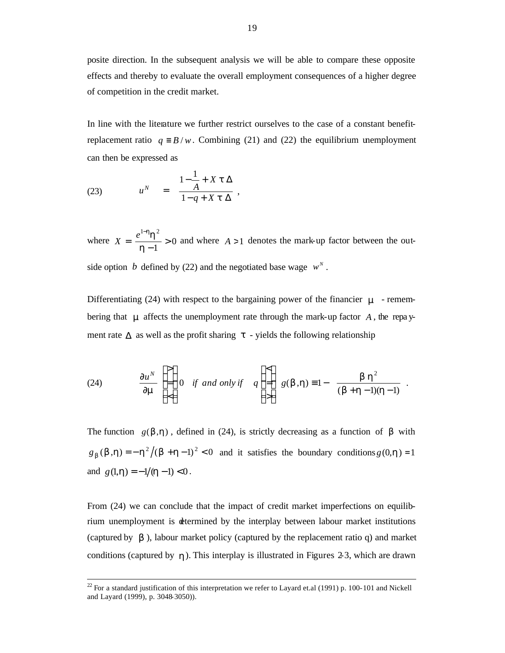posite direction. In the subsequent analysis we will be able to compare these opposite effects and thereby to evaluate the overall employment consequences of a higher degree of competition in the credit market.

In line with the literature we further restrict ourselves to the case of a constant benefitreplacement ratio  $q = B/w$ . Combining (21) and (22) the equilibrium unemployment can then be expressed as

(23) 
$$
u^N = \frac{1 - \frac{1}{A} + X t \Delta}{1 - q + X t \Delta},
$$

 $\overline{\phantom{a}}$ 

where  $X = \frac{e^{i} A}{1 - 1} > 0$ 1  $1-h_{L}$  2 > − = − *h*  $X = \frac{e^{1-h}h^2}{h} > 0$  and where *A* > 1 denotes the mark-up factor between the outside option *b* defined by (22) and the negotiated base wage  $w^N$ .

Differentiating (24) with respect to the bargaining power of the financier  $\mathbf{m}$  - remembering that *m* affects the unemployment rate through the mark-up factor *A* , the repa yment rate  $\Delta$  as well as the profit sharing  $t$  - yields the following relationship

(24) 
$$
\frac{\partial u^N}{\partial \mathbf{m}} \begin{Bmatrix} > \\ = \\ \leq \end{Bmatrix} 0 \quad \text{if and only if} \quad q \begin{Bmatrix} < \\ = \\ > \end{Bmatrix} g(\mathbf{b}, \mathbf{h}) \equiv 1 - \frac{\mathbf{b} \mathbf{h}^2}{(\mathbf{b} + \mathbf{h} - 1)(\mathbf{h} - 1)}.
$$

The function  $g(b,h)$ , defined in (24), is strictly decreasing as a function of **b** with  $g_b(b,h) = -h^2/(b+h-1)^2 < 0$  and it satisfies the boundary conditions  $g(0,h) = 1$ and  $g(1, h) = -1/(h-1) < 0$ .

From (24) we can conclude that the impact of credit market imperfections on equilibrium unemployment is determined by the interplay between labour market institutions (captured by *b* ), labour market policy (captured by the replacement ratio q) and market conditions (captured by *h*). This interplay is illustrated in Figures 2-3, which are drawn

 $^{22}$  For a standard justification of this interpretation we refer to Layard et.al (1991) p. 100-101 and Nickell and Layard (1999), p. 3048-3050)).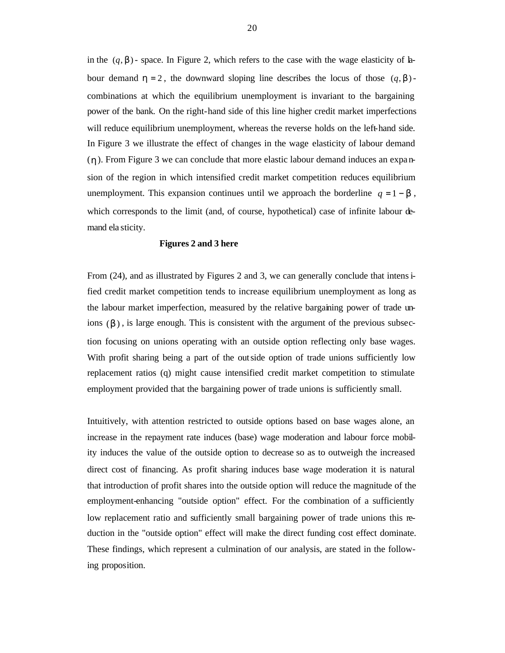in the  $(q, b)$ - space. In Figure 2, which refers to the case with the wage elasticity of labour demand  $h = 2$ , the downward sloping line describes the locus of those  $(q, b)$ combinations at which the equilibrium unemployment is invariant to the bargaining power of the bank. On the right-hand side of this line higher credit market imperfections will reduce equilibrium unemployment, whereas the reverse holds on the left-hand side. In Figure 3 we illustrate the effect of changes in the wage elasticity of labour demand (*h*). From Figure 3 we can conclude that more elastic labour demand induces an expa nsion of the region in which intensified credit market competition reduces equilibrium unemployment. This expansion continues until we approach the borderline  $q = 1 - b$ , which corresponds to the limit (and, of course, hypothetical) case of infinite labour demand ela sticity.

#### **Figures 2 and 3 here**

From (24), and as illustrated by Figures 2 and 3, we can generally conclude that intensified credit market competition tends to increase equilibrium unemployment as long as the labour market imperfection, measured by the relative bargaining power of trade unions  $(b)$ , is large enough. This is consistent with the argument of the previous subsection focusing on unions operating with an outside option reflecting only base wages. With profit sharing being a part of the outside option of trade unions sufficiently low replacement ratios (q) might cause intensified credit market competition to stimulate employment provided that the bargaining power of trade unions is sufficiently small.

Intuitively, with attention restricted to outside options based on base wages alone, an increase in the repayment rate induces (base) wage moderation and labour force mobility induces the value of the outside option to decrease so as to outweigh the increased direct cost of financing. As profit sharing induces base wage moderation it is natural that introduction of profit shares into the outside option will reduce the magnitude of the employment-enhancing "outside option" effect. For the combination of a sufficiently low replacement ratio and sufficiently small bargaining power of trade unions this reduction in the "outside option" effect will make the direct funding cost effect dominate. These findings, which represent a culmination of our analysis, are stated in the following proposition.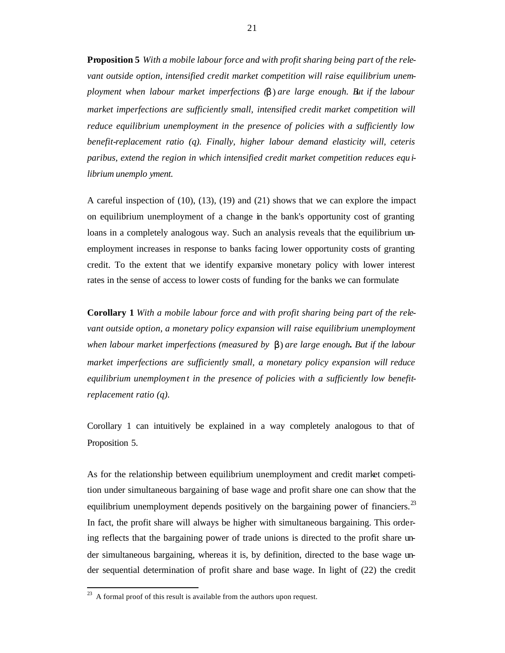**Proposition 5** *With a mobile labour force and with profit sharing being part of the relevant outside option, intensified credit market competition will raise equilibrium unemployment when labour market imperfections (b* ) *are large enough. But if the labour market imperfections are sufficiently small, intensified credit market competition will reduce equilibrium unemployment in the presence of policies with a sufficiently low benefit-replacement ratio (q). Finally, higher labour demand elasticity will, ceteris paribus, extend the region in which intensified credit market competition reduces equ ilibrium unemplo yment.*

A careful inspection of (10), (13), (19) and (21) shows that we can explore the impact on equilibrium unemployment of a change in the bank's opportunity cost of granting loans in a completely analogous way. Such an analysis reveals that the equilibrium unemployment increases in response to banks facing lower opportunity costs of granting credit. To the extent that we identify expansive monetary policy with lower interest rates in the sense of access to lower costs of funding for the banks we can formulate

**Corollary 1** *With a mobile labour force and with profit sharing being part of the relevant outside option, a monetary policy expansion will raise equilibrium unemployment when labour market imperfections (measured by b*) *are large enough. But if the labour market imperfections are sufficiently small, a monetary policy expansion will reduce equilibrium unemploymen t in the presence of policies with a sufficiently low benefitreplacement ratio (q).*

Corollary 1 can intuitively be explained in a way completely analogous to that of Proposition 5.

As for the relationship between equilibrium unemployment and credit market competition under simultaneous bargaining of base wage and profit share one can show that the equilibrium unemployment depends positively on the bargaining power of financiers.<sup>23</sup> In fact, the profit share will always be higher with simultaneous bargaining. This ordering reflects that the bargaining power of trade unions is directed to the profit share under simultaneous bargaining, whereas it is, by definition, directed to the base wage under sequential determination of profit share and base wage. In light of (22) the credit

 $^{23}$  A formal proof of this result is available from the authors upon request.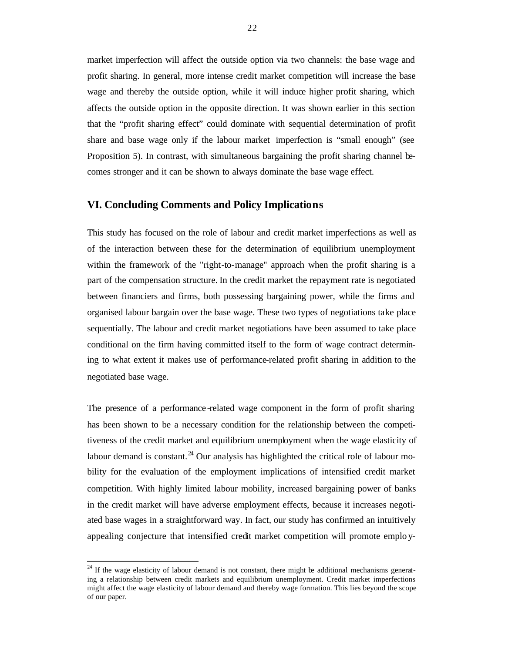market imperfection will affect the outside option via two channels: the base wage and profit sharing. In general, more intense credit market competition will increase the base wage and thereby the outside option, while it will induce higher profit sharing, which affects the outside option in the opposite direction. It was shown earlier in this section that the "profit sharing effect" could dominate with sequential determination of profit share and base wage only if the labour market imperfection is "small enough" (see Proposition 5). In contrast, with simultaneous bargaining the profit sharing channel becomes stronger and it can be shown to always dominate the base wage effect.

# **VI. Concluding Comments and Policy Implications**

This study has focused on the role of labour and credit market imperfections as well as of the interaction between these for the determination of equilibrium unemployment within the framework of the "right-to-manage" approach when the profit sharing is a part of the compensation structure. In the credit market the repayment rate is negotiated between financiers and firms, both possessing bargaining power, while the firms and organised labour bargain over the base wage. These two types of negotiations take place sequentially. The labour and credit market negotiations have been assumed to take place conditional on the firm having committed itself to the form of wage contract determining to what extent it makes use of performance-related profit sharing in addition to the negotiated base wage.

The presence of a performance -related wage component in the form of profit sharing has been shown to be a necessary condition for the relationship between the competitiveness of the credit market and equilibrium unemployment when the wage elasticity of labour demand is constant.<sup>24</sup> Our analysis has highlighted the critical role of labour mobility for the evaluation of the employment implications of intensified credit market competition. With highly limited labour mobility, increased bargaining power of banks in the credit market will have adverse employment effects, because it increases negotiated base wages in a straightforward way. In fact, our study has confirmed an intuitively appealing conjecture that intensified credit market competition will promote emplo y-

 $24$  If the wage elasticity of labour demand is not constant, there might be additional mechanisms generating a relationship between credit markets and equilibrium unemployment. Credit market imperfections might affect the wage elasticity of labour demand and thereby wage formation. This lies beyond the scope of our paper.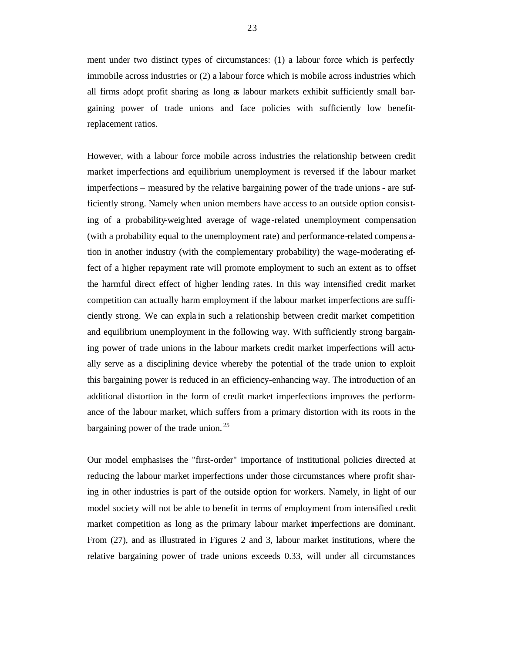ment under two distinct types of circumstances: (1) a labour force which is perfectly immobile across industries or (2) a labour force which is mobile across industries which all firms adopt profit sharing as long as labour markets exhibit sufficiently small bargaining power of trade unions and face policies with sufficiently low benefitreplacement ratios.

However, with a labour force mobile across industries the relationship between credit market imperfections and equilibrium unemployment is reversed if the labour market imperfections – measured by the relative bargaining power of the trade unions - are sufficiently strong. Namely when union members have access to an outside option consisting of a probability-weighted average of wage -related unemployment compensation (with a probability equal to the unemployment rate) and performance-related compens ation in another industry (with the complementary probability) the wage-moderating effect of a higher repayment rate will promote employment to such an extent as to offset the harmful direct effect of higher lending rates. In this way intensified credit market competition can actually harm employment if the labour market imperfections are sufficiently strong. We can expla in such a relationship between credit market competition and equilibrium unemployment in the following way. With sufficiently strong bargaining power of trade unions in the labour markets credit market imperfections will actually serve as a disciplining device whereby the potential of the trade union to exploit this bargaining power is reduced in an efficiency-enhancing way. The introduction of an additional distortion in the form of credit market imperfections improves the performance of the labour market, which suffers from a primary distortion with its roots in the bargaining power of the trade union.  $25$ 

Our model emphasises the "first-order" importance of institutional policies directed at reducing the labour market imperfections under those circumstances where profit sharing in other industries is part of the outside option for workers. Namely, in light of our model society will not be able to benefit in terms of employment from intensified credit market competition as long as the primary labour market imperfections are dominant. From (27), and as illustrated in Figures 2 and 3, labour market institutions, where the relative bargaining power of trade unions exceeds 0.33, will under all circumstances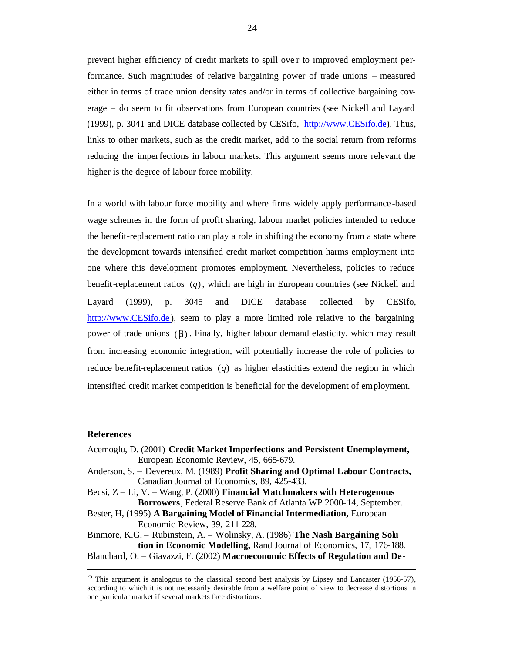prevent higher efficiency of credit markets to spill ove r to improved employment performance. Such magnitudes of relative bargaining power of trade unions – measured either in terms of trade union density rates and/or in terms of collective bargaining coverage – do seem to fit observations from European countries (see Nickell and Layard (1999), p. 3041 and DICE database collected by CESifo, http://www.CESifo.de). Thus, links to other markets, such as the credit market, add to the social return from reforms reducing the imperfections in labour markets. This argument seems more relevant the higher is the degree of labour force mobility.

In a world with labour force mobility and where firms widely apply performance -based wage schemes in the form of profit sharing, labour market policies intended to reduce the benefit-replacement ratio can play a role in shifting the economy from a state where the development towards intensified credit market competition harms employment into one where this development promotes employment. Nevertheless, policies to reduce benefit-replacement ratios (*q*), which are high in European countries (see Nickell and Layard (1999), p. 3045 and DICE database collected by CESifo, http://www.CESifo.de), seem to play a more limited role relative to the bargaining power of trade unions (*b*) . Finally, higher labour demand elasticity, which may result from increasing economic integration, will potentially increase the role of policies to reduce benefit-replacement ratios (*q*) as higher elasticities extend the region in which intensified credit market competition is beneficial for the development of employment.

#### **References**

- Acemoglu, D. (2001) **Credit Market Imperfections and Persistent Unemployment,** European Economic Review, 45, 665-679.
- Anderson, S. Devereux, M. (1989) **Profit Sharing and Optimal Labour Contracts,**  Canadian Journal of Economics, 89, 425-433.
- Becsi, Z Li, V. Wang, P. (2000) **Financial Matchmakers with Heterogenous Borrowers**, Federal Reserve Bank of Atlanta WP 2000-14, September.
- Bester, H, (1995) **A Bargaining Model of Financial Intermediation,** European Economic Review, 39, 211-228.
- Binmore, K.G. Rubinstein, A. Wolinsky, A. (1986) **The Nash Bargaining Solu tion in Economic Modelling,** Rand Journal of Economics, 17, 176-188.
- Blanchard, O. Giavazzi, F. (2002) **Macroeconomic Effects of Regulation and De-**

 $25$  This argument is analogous to the classical second best analysis by Lipsey and Lancaster (1956-57), according to which it is not necessarily desirable from a welfare point of view to decrease distortions in one particular market if several markets face distortions.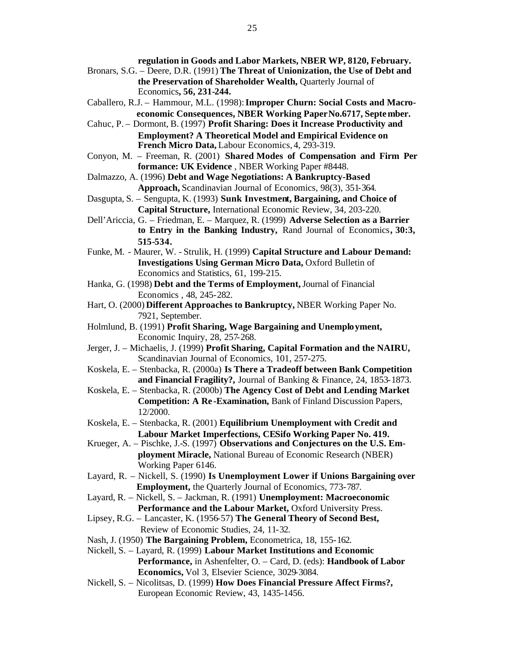**regulation in Goods and Labor Markets, NBER WP, 8120, February.**

- Bronars, S.G. Deere, D.R. (1991) **The Threat of Unionization, the Use of Debt and the Preservation of Shareholder Wealth,** Quarterly Journal of Economics**, 56, 231-244.**
- Caballero, R.J. Hammour, M.L. (1998): **Improper Churn: Social Costs and Macroeconomic Consequences, NBER Working Paper No.6717, September.**
- Cahuc, P. Dormont, B. (1997) **Profit Sharing: Does it Increase Productivity and Employment? A Theoretical Model and Empirical Evidence on French Micro Data,** Labour Economics, 4, 293-319.
- Conyon, M. Freeman, R. (2001) **Shared Modes of Compensation and Firm Per formance: UK Evidence** , NBER Working Paper #8448.
- Dalmazzo, A. (1996) **Debt and Wage Negotiations: A Bankruptcy-Based Approach,** Scandinavian Journal of Economics, 98(3), 351-364.
- Dasgupta, S. Sengupta, K. (1993) **Sunk Investment, Bargaining, and Choice of Capital Structure,** International Economic Review, 34, 203-220.
- Dell'Ariccia, G. Friedman, E. Marquez, R. (1999) **Adverse Selection as a Barrier to Entry in the Banking Industry,** Rand Journal of Economics**, 30:3, 515-534.**
- Funke, M. Maurer, W. Strulik, H. (1999) **Capital Structure and Labour Demand: Investigations Using German Micro Data,** Oxford Bulletin of Economics and Statistics, 61, 199-215.
- Hanka, G. (1998) **Debt and the Terms of Employment,** Journal of Financial Economics , 48, 245-282.
- Hart, O. (2000) **Different Approaches to Bankruptcy,** NBER Working Paper No. 7921, September.
- Holmlund, B. (1991) **Profit Sharing, Wage Bargaining and Unemployment,**  Economic Inquiry, 28, 257-268.
- Jerger, J. Michaelis, J. (1999) **Profit Sharing, Capital Formation and the NAIRU,**  Scandinavian Journal of Economics, 101, 257-275.
- Koskela, E. Stenbacka, R. (2000a) **Is There a Tradeoff between Bank Competition and Financial Fragility?,** Journal of Banking & Finance, 24, 1853-1873.
- Koskela, E. Stenbacka, R. (2000b) **The Agency Cost of Debt and Lending Market Competition: A Re -Examination,** Bank of Finland Discussion Papers, 12/2000.
- Koskela, E. Stenbacka, R. (2001) **Equilibrium Unemployment with Credit and Labour Market Imperfections, CESifo Working Paper No. 419.**
- Krueger, A. Pischke, J.-S. (1997) **Observations and Conjectures on the U.S. Employment Miracle,** National Bureau of Economic Research (NBER) Working Paper 6146.
- Layard, R. Nickell, S. (1990) **Is Unemployment Lower if Unions Bargaining over Employment,** the Quarterly Journal of Economics, 773-787.
- Layard, R. Nickell, S. Jackman, R. (1991) **Unemployment: Macroeconomic**  Performance and the Labour Market, Oxford University Press.
- Lipsey, R.G. Lancaster, K. (1956-57) **The General Theory of Second Best,** Review of Economic Studies, 24, 11-32.
- Nash, J. (1950) **The Bargaining Problem,** Econometrica, 18, 155-162.
- Nickell, S. Layard, R. (1999) **Labour Market Institutions and Economic Performance,** in Ashenfelter, O. – Card, D. (eds): **Handbook of Labor Economics,** Vol 3, Elsevier Science, 3029-3084.
- Nickell, S. Nicolitsas, D. (1999) **How Does Financial Pressure Affect Firms?,**  European Economic Review, 43, 1435-1456.